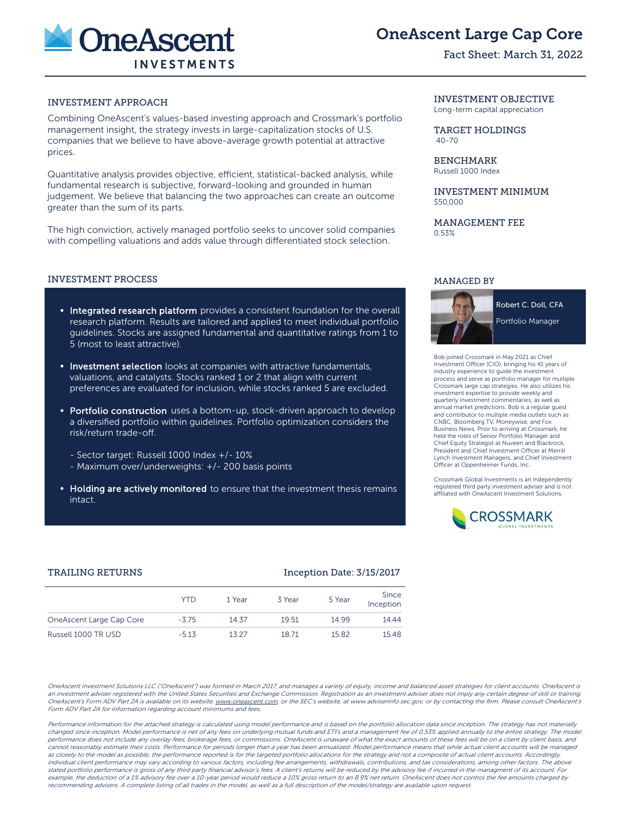

# OneAscent Large Cap Core

# Fact Sheet: March 31, 2022

# INVESTMENT APPROACH

Combining OneAscent's values-based investing approach and Crossmark's portfolio management insight, the strategy invests in large-capitalization stocks of U.S. companies that we believe to have above-average growth potential at attractive prices.

Quantitative analysis provides objective, efficient, statistical-backed analysis, while fundamental research is subjective, forward-looking and grounded in human judgement. We believe that balancing the two approaches can create an outcome greater than the sum of its parts.

The high conviction, actively managed portfolio seeks to uncover solid companies with compelling valuations and adds value through differentiated stock selection.

#### INVESTMENT PROCESS

- Integrated research platform provides a consistent foundation for the overall research platform. Results are tailored and applied to meet individual portfolio guidelines. Stocks are assigned fundamental and quantitative ratings from 1 to 5 (most to least attractive).
- **Investment selection** looks at companies with attractive fundamentals, valuations, and catalysts. Stocks ranked 1 or 2 that align with current preferences are evaluated for inclusion, while stocks ranked 5 are excluded.
- Portfolio construction uses a bottom-up, stock-driven approach to develop a diversified portfolio within guidelines. Portfolio optimization considers the risk/return trade-off.
	- Sector target: Russell 1000 Index +/- 10%
	- Maximum over/underweights: +/- 200 basis points
- Holding are actively monitored to ensure that the investment thesis remains intact.

#### INVESTMENT OBJECTIVE

Long-term capital appreciation

#### TARGET HOLDINGS 40-70

# BENCHMARK

Russell 1000 Index

#### INVESTMENT MINIMUM \$50,000

MANAGEMENT FEE 0.53%

#### MANAGED BY



Robert C. Doll, CFA

Portfolio Manager

Bob joined Crossmark in May 2021 as Chief Investment Officer (CIO), bringing his 41 years of industry experience to guide the investment process and serve as portfolio manager for multiple Crossmark large cap strategies. He also utilizes his investment expertise to provide weekly and quarterly investment commentaries, as well as annual market predictions. Bob is a regular guest and contributor to multiple media outlets such as CNBC, Bloomberg TV, Moneywise, and Fox Business News. Prior to arriving at Crossmark, he held the roles of Senior Portfolio Manager and Chief Equity Strategist at Nuveen and Blackrock, President and Chief Investment Officer at Merrill Lynch Investment Managers, and Chief Investment Officer at Oppenheimer Funds, Inc.

Crossmark Global Investments is an independently registered third party investment adviser and is not affiliated with OneAscent Investment Solutions.



# TRAILING RETURNS **Inception Date: 3/15/2017**

|                          | YTD     | 1 Year | 3 Year | 5 Year | Since<br>Inception |
|--------------------------|---------|--------|--------|--------|--------------------|
| OneAscent Large Cap Core | $-3.75$ | 14.37  | 19.51  | 14.99  | 14.44              |
| Russell 1000 TR USD      | $-5.13$ | 13 27  | 1871   | 1582   | 15.48              |

OneAscent Investment Solutions LLC ("OneAscent") was formed in March 2017, and manages a variety of equity, income and balanced asset strategies for client accounts. OneAscent is an investment adviser registered with the United States Securities and Exchange Commission. Registration as an investment adviser does not imply any certain degree of skill or training. OneAscent's Form ADV Part 2A is available on its website, www.oneascent.com or the SEC's website, at www.adviserinfo.sec.gov, or by contacting the firm. Please consult OneAscent's Form ADV Part 2A for information regarding account minimums and fees.

Performance information for the attached strategy is calculated using model performance and is based on the portfolio allocation data since inception. The strategy has not materially changed since inception. Model performance is net of any fees on underlying mutual funds and ETFs and a management fee of 0.53% applied annually to the entire strategy. The model performance does not include any overlay fees, brokerage fees, or commissions. OneAscent is unaware of what the exact amounts of these fees will be on a client by client basis, and cannot reasonably estimate their costs. Performance for periods longer than a year has been annualized. Model performance means that while actual client accounts will be managed as closely to the model as possible, the performance reported is for the targeted portfolio allocations for the strategy and not a composite of actual client accounts. Accordingly, individual client performance may vary according to various factors, including fee arrangements, withdrawals, contributions, and tax considerations, among other factors. The above stated portfolio performance is gross of any third party financial advisor's fees. A client's returns will be reduced by the advisory fee if incurred in the managment of its account. For example, the deduction of a 1% advisory fee over a 10-year period would reduce a 10% gross return to an 8.9% net return. OneAscent does not control the fee amounts charged by recommending advisers. A complete listing of all trades in the model, as well as a full description of the model/strategy are available upon request.